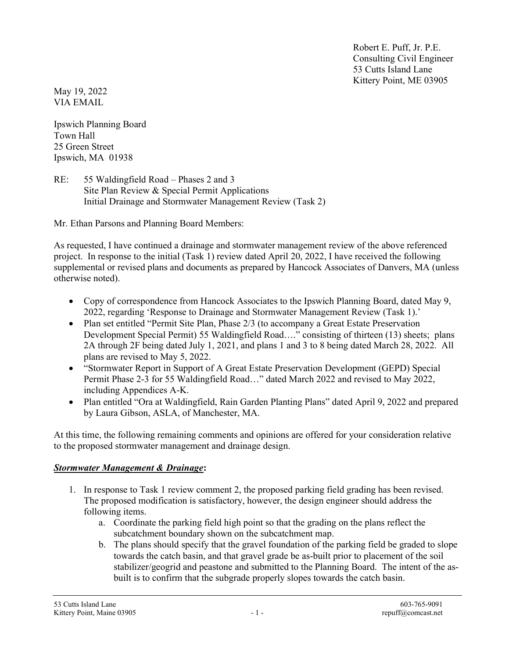Robert E. Puff, Jr. P.E. Consulting Civil Engineer 53 Cutts Island Lane Kittery Point, ME 03905

May 19, 2022 VIA EMAIL

Ipswich Planning Board Town Hall 25 Green Street Ipswich, MA 01938

RE: 55 Waldingfield Road – Phases 2 and 3 Site Plan Review & Special Permit Applications Initial Drainage and Stormwater Management Review (Task 2)

Mr. Ethan Parsons and Planning Board Members:

As requested, I have continued a drainage and stormwater management review of the above referenced project. In response to the initial (Task 1) review dated April 20, 2022, I have received the following supplemental or revised plans and documents as prepared by Hancock Associates of Danvers, MA (unless otherwise noted).

- Copy of correspondence from Hancock Associates to the Ipswich Planning Board, dated May 9, 2022, regarding 'Response to Drainage and Stormwater Management Review (Task 1).'
- Plan set entitled "Permit Site Plan, Phase 2/3 (to accompany a Great Estate Preservation Development Special Permit) 55 Waldingfield Road…." consisting of thirteen (13) sheets; plans 2A through 2F being dated July 1, 2021, and plans 1 and 3 to 8 being dated March 28, 2022. All plans are revised to May 5, 2022.
- "Stormwater Report in Support of A Great Estate Preservation Development (GEPD) Special Permit Phase 2-3 for 55 Waldingfield Road…" dated March 2022 and revised to May 2022, including Appendices A-K.
- Plan entitled "Ora at Waldingfield, Rain Garden Planting Plans" dated April 9, 2022 and prepared by Laura Gibson, ASLA, of Manchester, MA.

At this time, the following remaining comments and opinions are offered for your consideration relative to the proposed stormwater management and drainage design.

## Stormwater Management & Drainage:

- 1. In response to Task 1 review comment 2, the proposed parking field grading has been revised. The proposed modification is satisfactory, however, the design engineer should address the following items.
	- a. Coordinate the parking field high point so that the grading on the plans reflect the subcatchment boundary shown on the subcatchment map.
	- b. The plans should specify that the gravel foundation of the parking field be graded to slope towards the catch basin, and that gravel grade be as-built prior to placement of the soil stabilizer/geogrid and peastone and submitted to the Planning Board. The intent of the asbuilt is to confirm that the subgrade properly slopes towards the catch basin.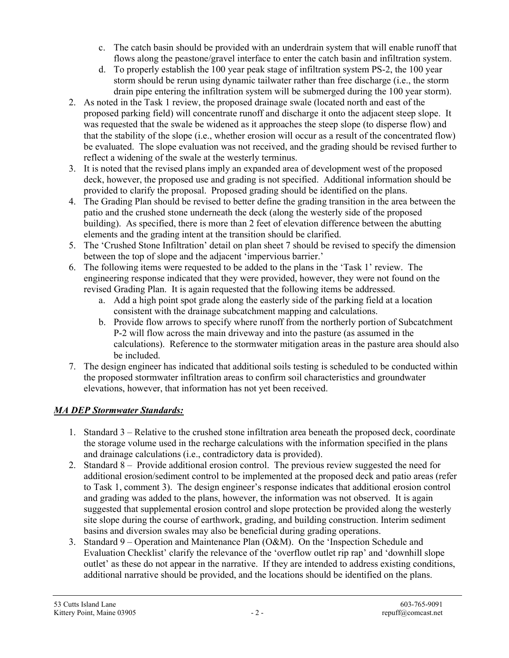- c. The catch basin should be provided with an underdrain system that will enable runoff that flows along the peastone/gravel interface to enter the catch basin and infiltration system.
- d. To properly establish the 100 year peak stage of infiltration system PS-2, the 100 year storm should be rerun using dynamic tailwater rather than free discharge (i.e., the storm drain pipe entering the infiltration system will be submerged during the 100 year storm).
- 2. As noted in the Task 1 review, the proposed drainage swale (located north and east of the proposed parking field) will concentrate runoff and discharge it onto the adjacent steep slope. It was requested that the swale be widened as it approaches the steep slope (to disperse flow) and that the stability of the slope (i.e., whether erosion will occur as a result of the concentrated flow) be evaluated. The slope evaluation was not received, and the grading should be revised further to reflect a widening of the swale at the westerly terminus.
- 3. It is noted that the revised plans imply an expanded area of development west of the proposed deck, however, the proposed use and grading is not specified. Additional information should be provided to clarify the proposal. Proposed grading should be identified on the plans.
- 4. The Grading Plan should be revised to better define the grading transition in the area between the patio and the crushed stone underneath the deck (along the westerly side of the proposed building). As specified, there is more than 2 feet of elevation difference between the abutting elements and the grading intent at the transition should be clarified.
- 5. The 'Crushed Stone Infiltration' detail on plan sheet 7 should be revised to specify the dimension between the top of slope and the adjacent 'impervious barrier.'
- 6. The following items were requested to be added to the plans in the 'Task 1' review. The engineering response indicated that they were provided, however, they were not found on the revised Grading Plan. It is again requested that the following items be addressed.
	- a. Add a high point spot grade along the easterly side of the parking field at a location consistent with the drainage subcatchment mapping and calculations.
	- b. Provide flow arrows to specify where runoff from the northerly portion of Subcatchment P-2 will flow across the main driveway and into the pasture (as assumed in the calculations). Reference to the stormwater mitigation areas in the pasture area should also be included.
- 7. The design engineer has indicated that additional soils testing is scheduled to be conducted within the proposed stormwater infiltration areas to confirm soil characteristics and groundwater elevations, however, that information has not yet been received.

## MA DEP Stormwater Standards:

- 1. Standard 3 Relative to the crushed stone infiltration area beneath the proposed deck, coordinate the storage volume used in the recharge calculations with the information specified in the plans and drainage calculations (i.e., contradictory data is provided).
- 2. Standard 8 Provide additional erosion control. The previous review suggested the need for additional erosion/sediment control to be implemented at the proposed deck and patio areas (refer to Task 1, comment 3). The design engineer's response indicates that additional erosion control and grading was added to the plans, however, the information was not observed. It is again suggested that supplemental erosion control and slope protection be provided along the westerly site slope during the course of earthwork, grading, and building construction. Interim sediment basins and diversion swales may also be beneficial during grading operations.
- 3. Standard 9 Operation and Maintenance Plan (O&M). On the 'Inspection Schedule and Evaluation Checklist' clarify the relevance of the 'overflow outlet rip rap' and 'downhill slope outlet' as these do not appear in the narrative. If they are intended to address existing conditions, additional narrative should be provided, and the locations should be identified on the plans.